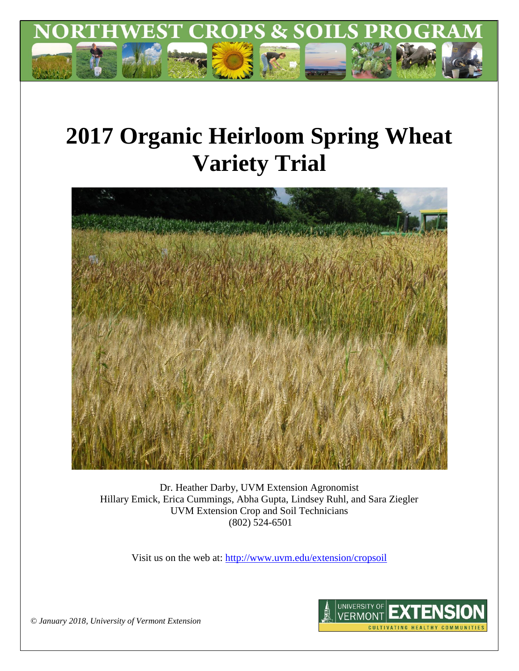

# **2017 Organic Heirloom Spring Wheat Variety Trial**



Dr. Heather Darby, UVM Extension Agronomist Hillary Emick, Erica Cummings, Abha Gupta, Lindsey Ruhl, and Sara Ziegler UVM Extension Crop and Soil Technicians (802) 524-6501

Visit us on the web at:<http://www.uvm.edu/extension/cropsoil>



*© January 2018, University of Vermont Extension*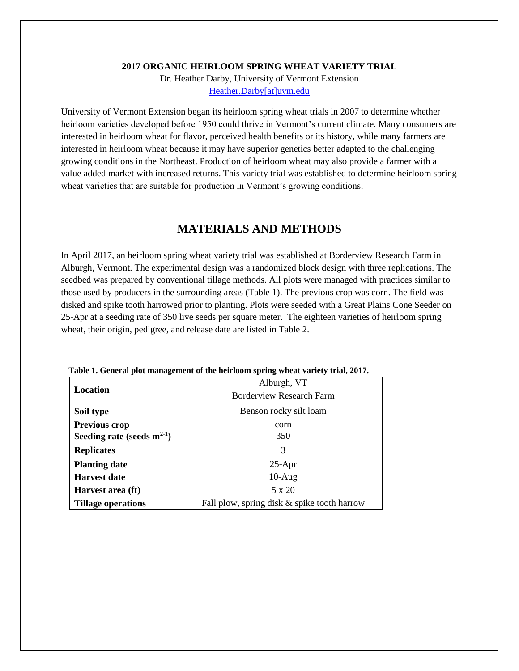#### **2017 ORGANIC HEIRLOOM SPRING WHEAT VARIETY TRIAL**

Dr. Heather Darby, University of Vermont Extension [Heather.Darby\[at\]uvm.edu](mailto:Heather.Darby@uvm.edu)

University of Vermont Extension began its heirloom spring wheat trials in 2007 to determine whether heirloom varieties developed before 1950 could thrive in Vermont's current climate. Many consumers are interested in heirloom wheat for flavor, perceived health benefits or its history, while many farmers are interested in heirloom wheat because it may have superior genetics better adapted to the challenging growing conditions in the Northeast. Production of heirloom wheat may also provide a farmer with a value added market with increased returns. This variety trial was established to determine heirloom spring wheat varieties that are suitable for production in Vermont's growing conditions.

# **MATERIALS AND METHODS**

In April 2017, an heirloom spring wheat variety trial was established at Borderview Research Farm in Alburgh, Vermont. The experimental design was a randomized block design with three replications. The seedbed was prepared by conventional tillage methods. All plots were managed with practices similar to those used by producers in the surrounding areas (Table 1). The previous crop was corn. The field was disked and spike tooth harrowed prior to planting. Plots were seeded with a Great Plains Cone Seeder on 25-Apr at a seeding rate of 350 live seeds per square meter. The eighteen varieties of heirloom spring wheat, their origin, pedigree, and release date are listed in Table 2.

|                                 | Alburgh, VT                                 |  |  |  |  |  |
|---------------------------------|---------------------------------------------|--|--|--|--|--|
| Location                        | <b>Borderview Research Farm</b>             |  |  |  |  |  |
| Soil type                       | Benson rocky silt loam                      |  |  |  |  |  |
| <b>Previous crop</b>            | corn                                        |  |  |  |  |  |
| Seeding rate (seeds $m^{2-1}$ ) | 350                                         |  |  |  |  |  |
| <b>Replicates</b>               | 3                                           |  |  |  |  |  |
| <b>Planting date</b>            | $25-Apr$                                    |  |  |  |  |  |
| <b>Harvest date</b>             | $10-Aug$                                    |  |  |  |  |  |
| Harvest area (ft)               | 5 x 20                                      |  |  |  |  |  |
| <b>Tillage operations</b>       | Fall plow, spring disk & spike tooth harrow |  |  |  |  |  |

**Table 1. General plot management of the heirloom spring wheat variety trial, 2017.**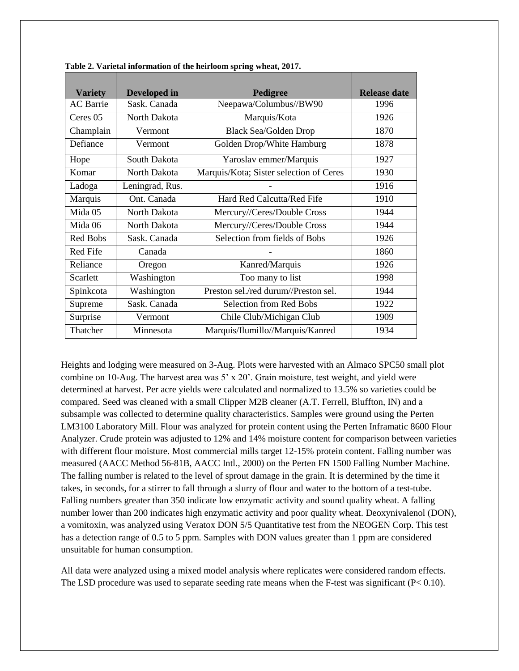| <b>Variety</b>   | Developed in    | Pedigree                                | <b>Release date</b> |
|------------------|-----------------|-----------------------------------------|---------------------|
| <b>AC</b> Barrie | Sask. Canada    | Neepawa/Columbus//BW90                  | 1996                |
| Ceres 05         | North Dakota    | Marquis/Kota                            | 1926                |
| Champlain        | Vermont         | <b>Black Sea/Golden Drop</b>            | 1870                |
| Defiance         | Vermont         | Golden Drop/White Hamburg               | 1878                |
| Hope             | South Dakota    | Yaroslav emmer/Marquis                  | 1927                |
| Komar            | North Dakota    | Marquis/Kota; Sister selection of Ceres | 1930                |
| Ladoga           | Leningrad, Rus. |                                         | 1916                |
| Marquis          | Ont. Canada     | Hard Red Calcutta/Red Fife              | 1910                |
| Mida 05          | North Dakota    | Mercury//Ceres/Double Cross             | 1944                |
| Mida 06          | North Dakota    | Mercury//Ceres/Double Cross             | 1944                |
| Red Bobs         | Sask. Canada    | Selection from fields of Bobs           | 1926                |
| Red Fife         | Canada          |                                         | 1860                |
| Reliance         | Oregon          | Kanred/Marquis                          | 1926                |
| Scarlett         | Washington      | Too many to list                        | 1998                |
| Spinkcota        | Washington      | Preston sel./red durum//Preston sel.    | 1944                |
| Supreme          | Sask. Canada    | <b>Selection from Red Bobs</b>          | 1922                |
| Surprise         | Vermont         | Chile Club/Michigan Club                | 1909                |
| Thatcher         | Minnesota       | Marquis/Ilumillo//Marquis/Kanred        | 1934                |

**Table 2. Varietal information of the heirloom spring wheat, 2017.**

Heights and lodging were measured on 3-Aug. Plots were harvested with an Almaco SPC50 small plot combine on 10-Aug. The harvest area was 5' x 20'. Grain moisture, test weight, and yield were determined at harvest. Per acre yields were calculated and normalized to 13.5% so varieties could be compared. Seed was cleaned with a small Clipper M2B cleaner (A.T. Ferrell, Bluffton, IN) and a subsample was collected to determine quality characteristics. Samples were ground using the Perten LM3100 Laboratory Mill. Flour was analyzed for protein content using the Perten Inframatic 8600 Flour Analyzer. Crude protein was adjusted to 12% and 14% moisture content for comparison between varieties with different flour moisture. Most commercial mills target 12-15% protein content. Falling number was measured (AACC Method 56-81B, AACC Intl., 2000) on the Perten FN 1500 Falling Number Machine. The falling number is related to the level of sprout damage in the grain. It is determined by the time it takes, in seconds, for a stirrer to fall through a slurry of flour and water to the bottom of a test-tube. Falling numbers greater than 350 indicate low enzymatic activity and sound quality wheat. A falling number lower than 200 indicates high enzymatic activity and poor quality wheat. Deoxynivalenol (DON), a vomitoxin, was analyzed using Veratox DON 5/5 Quantitative test from the NEOGEN Corp. This test has a detection range of 0.5 to 5 ppm. Samples with DON values greater than 1 ppm are considered unsuitable for human consumption.

All data were analyzed using a mixed model analysis where replicates were considered random effects. The LSD procedure was used to separate seeding rate means when the F-test was significant (P< 0.10).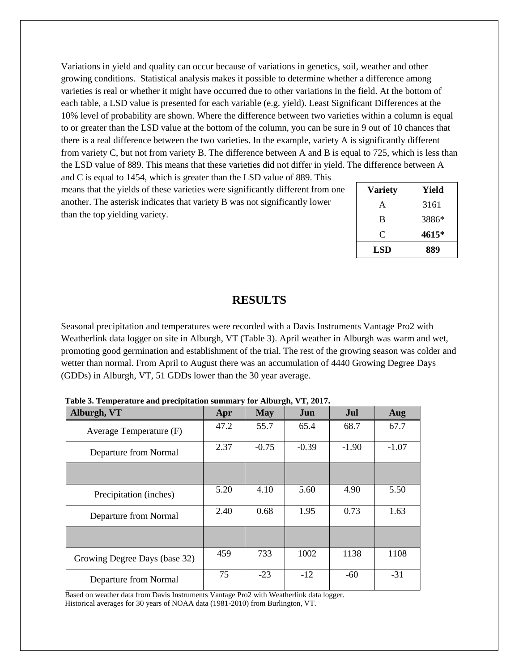Variations in yield and quality can occur because of variations in genetics, soil, weather and other growing conditions. Statistical analysis makes it possible to determine whether a difference among varieties is real or whether it might have occurred due to other variations in the field. At the bottom of each table, a LSD value is presented for each variable (e.g. yield). Least Significant Differences at the 10% level of probability are shown. Where the difference between two varieties within a column is equal to or greater than the LSD value at the bottom of the column, you can be sure in 9 out of 10 chances that there is a real difference between the two varieties. In the example, variety A is significantly different from variety C, but not from variety B. The difference between A and B is equal to 725, which is less than the LSD value of 889. This means that these varieties did not differ in yield. The difference between A

and C is equal to 1454, which is greater than the LSD value of 889. This means that the yields of these varieties were significantly different from one another. The asterisk indicates that variety B was not significantly lower than the top yielding variety.

| <b>Variety</b> | Yield |  |  |  |
|----------------|-------|--|--|--|
| A              | 3161  |  |  |  |
| B              | 3886* |  |  |  |
| C              | 4615* |  |  |  |
| <b>LSD</b>     | 889   |  |  |  |

## **RESULTS**

Seasonal precipitation and temperatures were recorded with a Davis Instruments Vantage Pro2 with Weatherlink data logger on site in Alburgh, VT (Table 3). April weather in Alburgh was warm and wet, promoting good germination and establishment of the trial. The rest of the growing season was colder and wetter than normal. From April to August there was an accumulation of 4440 Growing Degree Days (GDDs) in Alburgh, VT, 51 GDDs lower than the 30 year average.

| Alburgh, VT                   | Apr  | <b>May</b> | $\sigma$ ,<br>Jun | Jul     | Aug     |
|-------------------------------|------|------------|-------------------|---------|---------|
| Average Temperature (F)       | 47.2 | 55.7       | 65.4              | 68.7    | 67.7    |
| Departure from Normal         | 2.37 | $-0.75$    | $-0.39$           | $-1.90$ | $-1.07$ |
|                               |      |            |                   |         |         |
| Precipitation (inches)        | 5.20 | 4.10       | 5.60              | 4.90    | 5.50    |
| Departure from Normal         | 2.40 | 0.68       | 1.95              | 0.73    | 1.63    |
|                               |      |            |                   |         |         |
| Growing Degree Days (base 32) | 459  | 733        | 1002              | 1138    | 1108    |
| Departure from Normal         | 75   | $-23$      | $-12$             | $-60$   | $-31$   |

**Table 3. Temperature and precipitation summary for Alburgh, VT, 2017.**

Based on weather data from Davis Instruments Vantage Pro2 with Weatherlink data logger. Historical averages for 30 years of NOAA data (1981-2010) from Burlington, VT.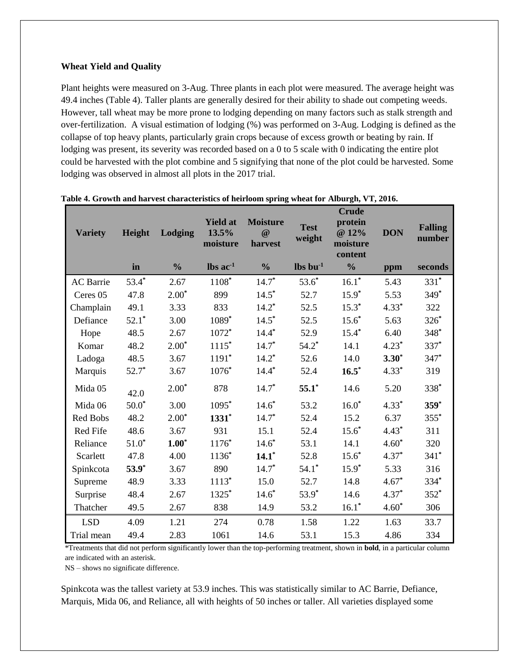### **Wheat Yield and Quality**

Plant heights were measured on 3-Aug. Three plants in each plot were measured. The average height was 49.4 inches (Table 4). Taller plants are generally desired for their ability to shade out competing weeds. However, tall wheat may be more prone to lodging depending on many factors such as stalk strength and over-fertilization. A visual estimation of lodging (%) was performed on 3-Aug. Lodging is defined as the collapse of top heavy plants, particularly grain crops because of excess growth or beating by rain. If lodging was present, its severity was recorded based on a 0 to 5 scale with 0 indicating the entire plot could be harvested with the plot combine and 5 signifying that none of the plot could be harvested. Some lodging was observed in almost all plots in the 2017 trial.

|                  |         |               | <b>Yield at</b>               | <b>Moisture</b>     |                                  | <b>Crude</b><br>protein      |            |                          |  |
|------------------|---------|---------------|-------------------------------|---------------------|----------------------------------|------------------------------|------------|--------------------------|--|
| <b>Variety</b>   | Height  | Lodging       | 13.5%<br>moisture             | $\omega$<br>harvest | <b>Test</b><br>weight            | @ 12%<br>moisture<br>content | <b>DON</b> | <b>Falling</b><br>number |  |
|                  | in      | $\frac{0}{0}$ | $\text{lbs}$ ac <sup>-1</sup> | $\frac{0}{0}$       | $\mathbf{lbs}\,\mathbf{bu}^{-1}$ | $\frac{0}{0}$                | ppm        | seconds                  |  |
| <b>AC</b> Barrie | $53.4*$ | 2.67          | 1108*                         | $14.7*$             | $53.6*$                          | $16.1*$                      | 5.43       | $331*$                   |  |
| Ceres 05         | 47.8    | $2.00*$       | 899                           | $14.5*$             | 52.7                             | $15.9*$                      | 5.53       | $349*$                   |  |
| Champlain        | 49.1    | 3.33          | 833                           | $14.2*$             | 52.5                             | $15.3*$                      | $4.33*$    | 322                      |  |
| Defiance         | $52.1*$ | 3.00          | 1089*                         | $14.5*$             | 52.5                             | $15.6*$                      | 5.63       | 326*                     |  |
| Hope             | 48.5    | 2.67          | 1072*                         | $14.4*$             | 52.9                             | $15.4*$                      | 6.40       | 348*                     |  |
| Komar            | 48.2    | $2.00*$       | $1115*$                       | $14.7*$             | $54.2*$                          | 14.1                         | $4.23*$    | $337*$                   |  |
| Ladoga           | 48.5    | 3.67          | $1191*$                       | $14.2*$             | 52.6                             | 14.0                         | $3.30*$    | 347*                     |  |
| Marquis          | $52.7*$ | 3.67          | $1076*$                       | $14.4*$             | 52.4                             | $16.5*$                      | $4.33*$    | 319                      |  |
| Mida 05          | 42.0    | $2.00*$       | 878                           | $14.7*$             | $55.1*$                          | 14.6                         | 5.20       | 338*                     |  |
| Mida 06          | $50.0*$ | 3.00          | 1095*                         | $14.6*$             | 53.2                             | $16.0*$                      | $4.33*$    | $359*$                   |  |
| Red Bobs         | 48.2    | $2.00*$       | $1331*$                       | $14.7*$             | 52.4                             | 15.2                         | 6.37       | $355*$                   |  |
| Red Fife         | 48.6    | 3.67          | 931                           | 15.1                | 52.4                             | $15.6*$                      | $4.43*$    | 311                      |  |
| Reliance         | $51.0*$ | $1.00^*$      | $1176*$                       | $14.6*$             | 53.1                             | 14.1                         | $4.60*$    | 320                      |  |
| Scarlett         | 47.8    | 4.00          | $1136*$                       | $14.1*$             | 52.8                             | $15.6*$                      | $4.37*$    | $341*$                   |  |
| Spinkcota        | $53.9*$ | 3.67          | 890                           | $14.7*$             | $54.1*$                          | $15.9*$                      | 5.33       | 316                      |  |
| Supreme          | 48.9    | 3.33          | $1113*$                       | 15.0                | 52.7                             | 14.8                         | $4.67*$    | 334*                     |  |
| Surprise         | 48.4    | 2.67          | 1325*                         | $14.6*$             | 53.9*                            | 14.6                         | $4.37*$    | $352*$                   |  |
| Thatcher         | 49.5    | 2.67          | 838                           | 14.9                | 53.2                             | $16.1*$                      | $4.60*$    | 306                      |  |
| <b>LSD</b>       | 4.09    | 1.21          | 274                           | 0.78                | 1.58                             | 1.22                         | 1.63       | 33.7                     |  |
| Trial mean       | 49.4    | 2.83          | 1061                          | 14.6                | 53.1                             | 15.3                         | 4.86       | 334                      |  |

| Table 4. Growth and harvest characteristics of heirloom spring wheat for Alburgh, VT, 2016. |  |  |  |
|---------------------------------------------------------------------------------------------|--|--|--|
|                                                                                             |  |  |  |

\*Treatments that did not perform significantly lower than the top-performing treatment, shown in **bold**, in a particular column are indicated with an asterisk.

NS – shows no significate difference.

Spinkcota was the tallest variety at 53.9 inches. This was statistically similar to AC Barrie, Defiance, Marquis, Mida 06, and Reliance, all with heights of 50 inches or taller. All varieties displayed some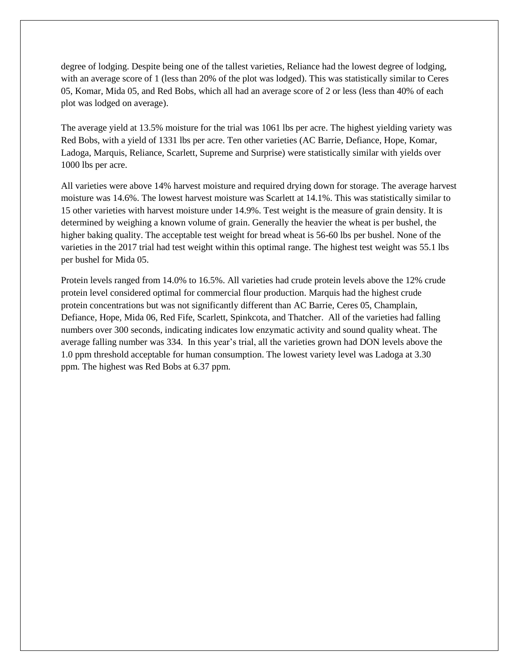degree of lodging. Despite being one of the tallest varieties, Reliance had the lowest degree of lodging, with an average score of 1 (less than 20% of the plot was lodged). This was statistically similar to Ceres 05, Komar, Mida 05, and Red Bobs, which all had an average score of 2 or less (less than 40% of each plot was lodged on average).

The average yield at 13.5% moisture for the trial was 1061 lbs per acre. The highest yielding variety was Red Bobs, with a yield of 1331 lbs per acre. Ten other varieties (AC Barrie, Defiance, Hope, Komar, Ladoga, Marquis, Reliance, Scarlett, Supreme and Surprise) were statistically similar with yields over 1000 lbs per acre.

All varieties were above 14% harvest moisture and required drying down for storage. The average harvest moisture was 14.6%. The lowest harvest moisture was Scarlett at 14.1%. This was statistically similar to 15 other varieties with harvest moisture under 14.9%. Test weight is the measure of grain density. It is determined by weighing a known volume of grain. Generally the heavier the wheat is per bushel, the higher baking quality. The acceptable test weight for bread wheat is 56-60 lbs per bushel. None of the varieties in the 2017 trial had test weight within this optimal range. The highest test weight was 55.1 lbs per bushel for Mida 05.

Protein levels ranged from 14.0% to 16.5%. All varieties had crude protein levels above the 12% crude protein level considered optimal for commercial flour production. Marquis had the highest crude protein concentrations but was not significantly different than AC Barrie, Ceres 05, Champlain, Defiance, Hope, Mida 06, Red Fife, Scarlett, Spinkcota, and Thatcher. All of the varieties had falling numbers over 300 seconds, indicating indicates low enzymatic activity and sound quality wheat. The average falling number was 334. In this year's trial, all the varieties grown had DON levels above the 1.0 ppm threshold acceptable for human consumption. The lowest variety level was Ladoga at 3.30 ppm. The highest was Red Bobs at 6.37 ppm.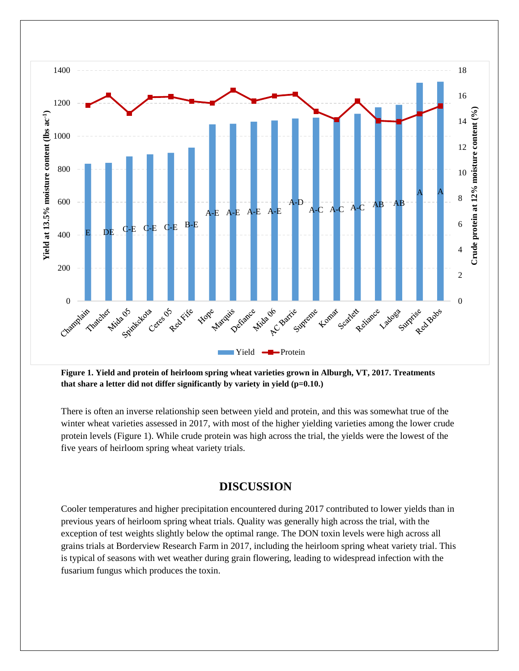

**Figure 1. Yield and protein of heirloom spring wheat varieties grown in Alburgh, VT, 2017. Treatments that share a letter did not differ significantly by variety in yield (p=0.10.)** 

There is often an inverse relationship seen between yield and protein, and this was somewhat true of the winter wheat varieties assessed in 2017, with most of the higher yielding varieties among the lower crude protein levels (Figure 1). While crude protein was high across the trial, the yields were the lowest of the five years of heirloom spring wheat variety trials.

# **DISCUSSION**

Cooler temperatures and higher precipitation encountered during 2017 contributed to lower yields than in previous years of heirloom spring wheat trials. Quality was generally high across the trial, with the exception of test weights slightly below the optimal range. The DON toxin levels were high across all grains trials at Borderview Research Farm in 2017, including the heirloom spring wheat variety trial. This is typical of seasons with wet weather during grain flowering, leading to widespread infection with the fusarium fungus which produces the toxin.